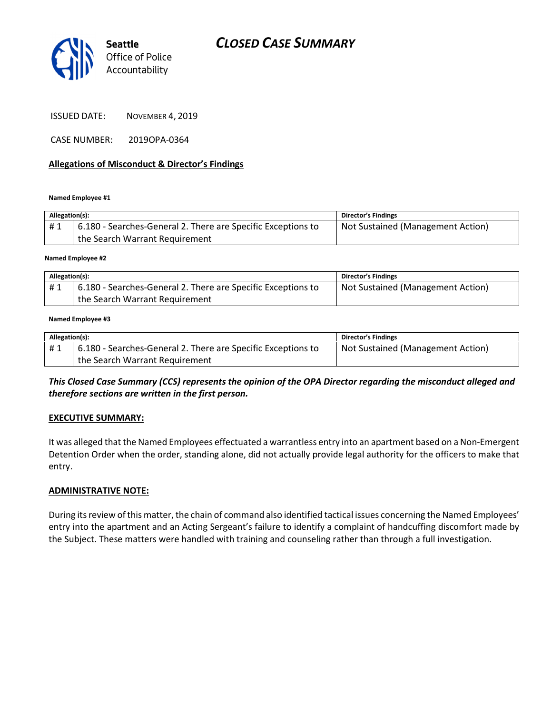

Seattle Office of Police Accountability

ISSUED DATE: NOVEMBER 4, 2019

CASE NUMBER: 2019OPA-0364

#### Allegations of Misconduct & Director's Findings

Named Employee #1

| Allegation(s): |                                                              | <b>Director's Findings</b>        |
|----------------|--------------------------------------------------------------|-----------------------------------|
| #1             | 6.180 - Searches-General 2. There are Specific Exceptions to | Not Sustained (Management Action) |
|                | the Search Warrant Requirement                               |                                   |
|                |                                                              |                                   |

Named Employee #2

| Allegation(s): |                                                              | Director's Findings               |
|----------------|--------------------------------------------------------------|-----------------------------------|
| #1             | 6.180 - Searches-General 2. There are Specific Exceptions to | Not Sustained (Management Action) |
|                | the Search Warrant Requirement                               |                                   |

#### Named Employee #3

| Allegation(s): |                                                              | <b>Director's Findings</b>        |
|----------------|--------------------------------------------------------------|-----------------------------------|
| #1             | 6.180 - Searches-General 2. There are Specific Exceptions to | Not Sustained (Management Action) |
|                | the Search Warrant Requirement                               |                                   |

This Closed Case Summary (CCS) represents the opinion of the OPA Director regarding the misconduct alleged and therefore sections are written in the first person.

#### EXECUTIVE SUMMARY:

It was alleged that the Named Employees effectuated a warrantless entry into an apartment based on a Non-Emergent Detention Order when the order, standing alone, did not actually provide legal authority for the officers to make that entry.

#### ADMINISTRATIVE NOTE:

During its review of this matter, the chain of command also identified tactical issues concerning the Named Employees' entry into the apartment and an Acting Sergeant's failure to identify a complaint of handcuffing discomfort made by the Subject. These matters were handled with training and counseling rather than through a full investigation.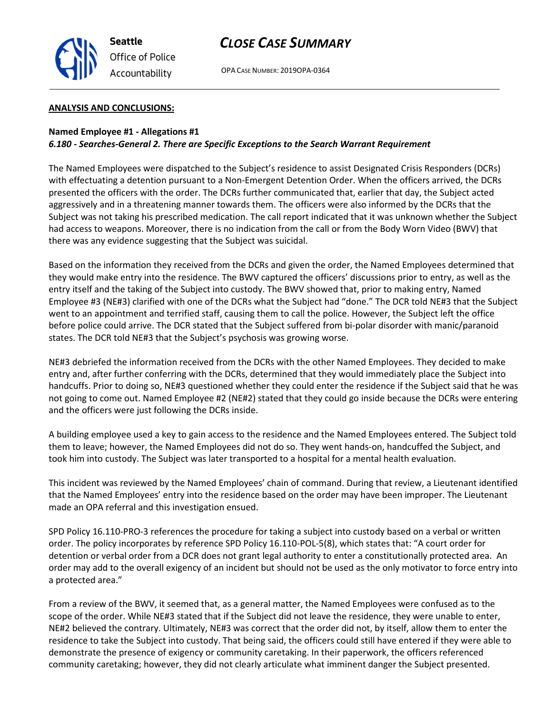

## CLOSE CASE SUMMARY

OPA CASE NUMBER: 2019OPA-0364

#### ANALYSIS AND CONCLUSIONS:

#### Named Employee #1 - Allegations #1 6.180 - Searches-General 2. There are Specific Exceptions to the Search Warrant Requirement

The Named Employees were dispatched to the Subject's residence to assist Designated Crisis Responders (DCRs) with effectuating a detention pursuant to a Non-Emergent Detention Order. When the officers arrived, the DCRs presented the officers with the order. The DCRs further communicated that, earlier that day, the Subject acted aggressively and in a threatening manner towards them. The officers were also informed by the DCRs that the Subject was not taking his prescribed medication. The call report indicated that it was unknown whether the Subject had access to weapons. Moreover, there is no indication from the call or from the Body Worn Video (BWV) that there was any evidence suggesting that the Subject was suicidal.

Based on the information they received from the DCRs and given the order, the Named Employees determined that they would make entry into the residence. The BWV captured the officers' discussions prior to entry, as well as the entry itself and the taking of the Subject into custody. The BWV showed that, prior to making entry, Named Employee #3 (NE#3) clarified with one of the DCRs what the Subject had "done." The DCR told NE#3 that the Subject went to an appointment and terrified staff, causing them to call the police. However, the Subject left the office before police could arrive. The DCR stated that the Subject suffered from bi-polar disorder with manic/paranoid states. The DCR told NE#3 that the Subject's psychosis was growing worse.

NE#3 debriefed the information received from the DCRs with the other Named Employees. They decided to make entry and, after further conferring with the DCRs, determined that they would immediately place the Subject into handcuffs. Prior to doing so, NE#3 questioned whether they could enter the residence if the Subject said that he was not going to come out. Named Employee #2 (NE#2) stated that they could go inside because the DCRs were entering and the officers were just following the DCRs inside.

A building employee used a key to gain access to the residence and the Named Employees entered. The Subject told them to leave; however, the Named Employees did not do so. They went hands-on, handcuffed the Subject, and took him into custody. The Subject was later transported to a hospital for a mental health evaluation.

This incident was reviewed by the Named Employees' chain of command. During that review, a Lieutenant identified that the Named Employees' entry into the residence based on the order may have been improper. The Lieutenant made an OPA referral and this investigation ensued.

SPD Policy 16.110-PRO-3 references the procedure for taking a subject into custody based on a verbal or written order. The policy incorporates by reference SPD Policy 16.110-POL-5(8), which states that: "A court order for detention or verbal order from a DCR does not grant legal authority to enter a constitutionally protected area. An order may add to the overall exigency of an incident but should not be used as the only motivator to force entry into a protected area."

From a review of the BWV, it seemed that, as a general matter, the Named Employees were confused as to the scope of the order. While NE#3 stated that if the Subject did not leave the residence, they were unable to enter, NE#2 believed the contrary. Ultimately, NE#3 was correct that the order did not, by itself, allow them to enter the residence to take the Subject into custody. That being said, the officers could still have entered if they were able to demonstrate the presence of exigency or community caretaking. In their paperwork, the officers referenced community caretaking; however, they did not clearly articulate what imminent danger the Subject presented.